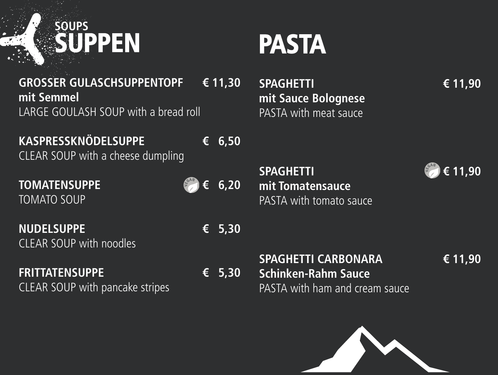

### **mit Sauce Bolognese** STA with meat sauce



**SPAGHETTI € 11,90** Tomatensauce STA with tomato sauce

### **SPAGHETTI CARBONARA € 11,90 Schinken-Rahm Sauce** PASTA with ham and cream sauce







**NUDELSUPPE** CLEAR SOUP with noodles

## **FRITTATENSUPPE** CLEAR SOUP with pancake stripes

**TOMATENSUPPE € 6,20** TOMATO SOUP

**KASPRESSKNÖDELSUPPE** CLEAR SOUP with a cheese dump

**GROSSER GULASCHSUPPENT( mit Semmel** LARGE GOULASH SOUP with a b



| OPF<br>read roll | € 11,30                          | <b>SPA</b><br>mit<br>PAS |
|------------------|----------------------------------|--------------------------|
| pling            | $\epsilon$ 6,50                  |                          |
|                  | $\epsilon^{GAM}$ $\epsilon$ 6,20 | SPA<br>mit<br>PAS        |
|                  | $\epsilon$ 5,30                  |                          |
|                  | $\epsilon$ 5,30                  | <b>SPA</b><br>Sch        |

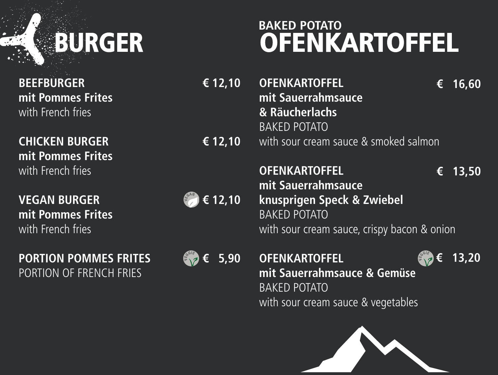# **BURGER**

**BEEFBURGER € 12,10 mit Pommes Frites** with French fries

**CHICKEN BURGER € 12,10 mit Pommes Frites** with French fries

**VEGAN BURGER**  $\qquad \qquad$   $\qquad \qquad$   $\qquad \qquad$   $\qquad$   $\qquad$  12,10 **mit Pommes Frites** with French fries

**PORTION POMMES FRITES**  $\mathcal{F}'$   $\in$  5,90 PORTION OF FRENCH FRIES

**OFENKARTOFFEL mit Sauerrahmsauce & Räucherlachs**  BAKED POTATO with sour cream sauce & smoked salmon **€ 16,60**

**OFENKARTOFFEL mit Sauerrahmsauce knusprigen Speck & Zwiebel**  BAKED POTATO with sour cream sauce, crispy bacon & onion **€ 13,50**

**OFENKARTOFFEL mit Sauerrahmsauce & Gemüse**  BAKED POTATO with sour cream sauce & vegetables **V EGGI<sup>E</sup>**

## **OFENKARTOFFEL BAKED POTATO**











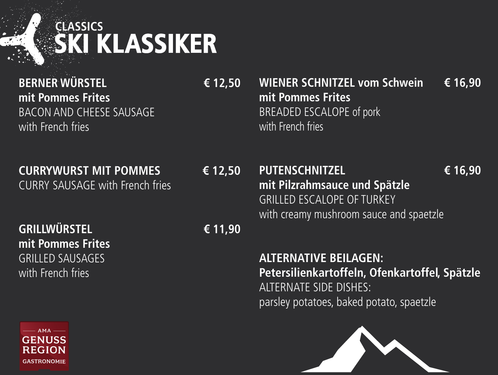**BERNER WÜRSTEL € 12,50 mit Pommes Frites** BACON AND CHEESE SAUSAGE with French fries

**CURRYWURST MIT POMMES € 12,50** CURRY SAUSAGE with French fries

**mit Pommes Frites** with French fries

**GRILLWÜRSTEL € 11,90 mit Pommes Frites**  GRILLED SAUSAGES with French fries



## **WIENER SCHNITZEL vom Schwein € 16,90** BREADED ESCALOPE of pork

## **SKI KLASSIKER CLASSICS**

### **PUTENSCHNITZEL € 16,90 mit Pilzrahmsauce und Spätzle** GRILLED ESCALOPE OF TURKEY with creamy mushroom sauce and spaetzle









**ALTERNATIVE BEILAGEN: Petersilienkartoffeln, Ofenkartoffel, Spätzle** ALTERNATE SIDE DISHES: parsley potatoes, baked potato, spaetzle